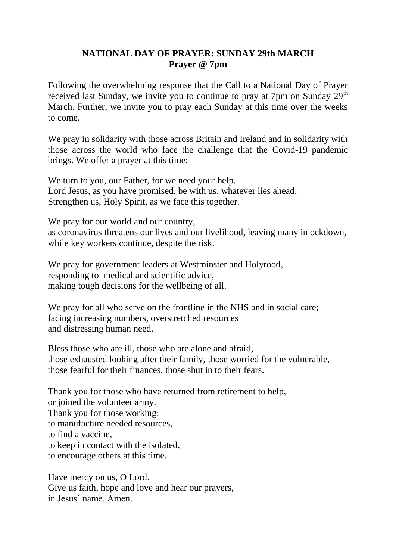## **NATIONAL DAY OF PRAYER: SUNDAY 29th MARCH Prayer @ 7pm**

Following the overwhelming response that the Call to a National Day of Prayer received last Sunday, we invite you to continue to pray at 7pm on Sunday  $29<sup>th</sup>$ March. Further, we invite you to pray each Sunday at this time over the weeks to come.

We pray in solidarity with those across Britain and Ireland and in solidarity with those across the world who face the challenge that the Covid-19 pandemic brings. We offer a prayer at this time:

We turn to you, our Father, for we need your help. Lord Jesus, as you have promised, be with us, whatever lies ahead, Strengthen us, Holy Spirit, as we face this together.

We pray for our world and our country, as coronavirus threatens our lives and our livelihood, leaving many in ockdown, while key workers continue, despite the risk.

We pray for government leaders at Westminster and Holyrood, responding to medical and scientific advice, making tough decisions for the wellbeing of all.

We pray for all who serve on the frontline in the NHS and in social care; facing increasing numbers, overstretched resources and distressing human need.

Bless those who are ill, those who are alone and afraid, those exhausted looking after their family, those worried for the vulnerable, those fearful for their finances, those shut in to their fears.

Thank you for those who have returned from retirement to help, or joined the volunteer army. Thank you for those working: to manufacture needed resources, to find a vaccine, to keep in contact with the isolated, to encourage others at this time.

Have mercy on us, O Lord. Give us faith, hope and love and hear our prayers, in Jesus' name. Amen.